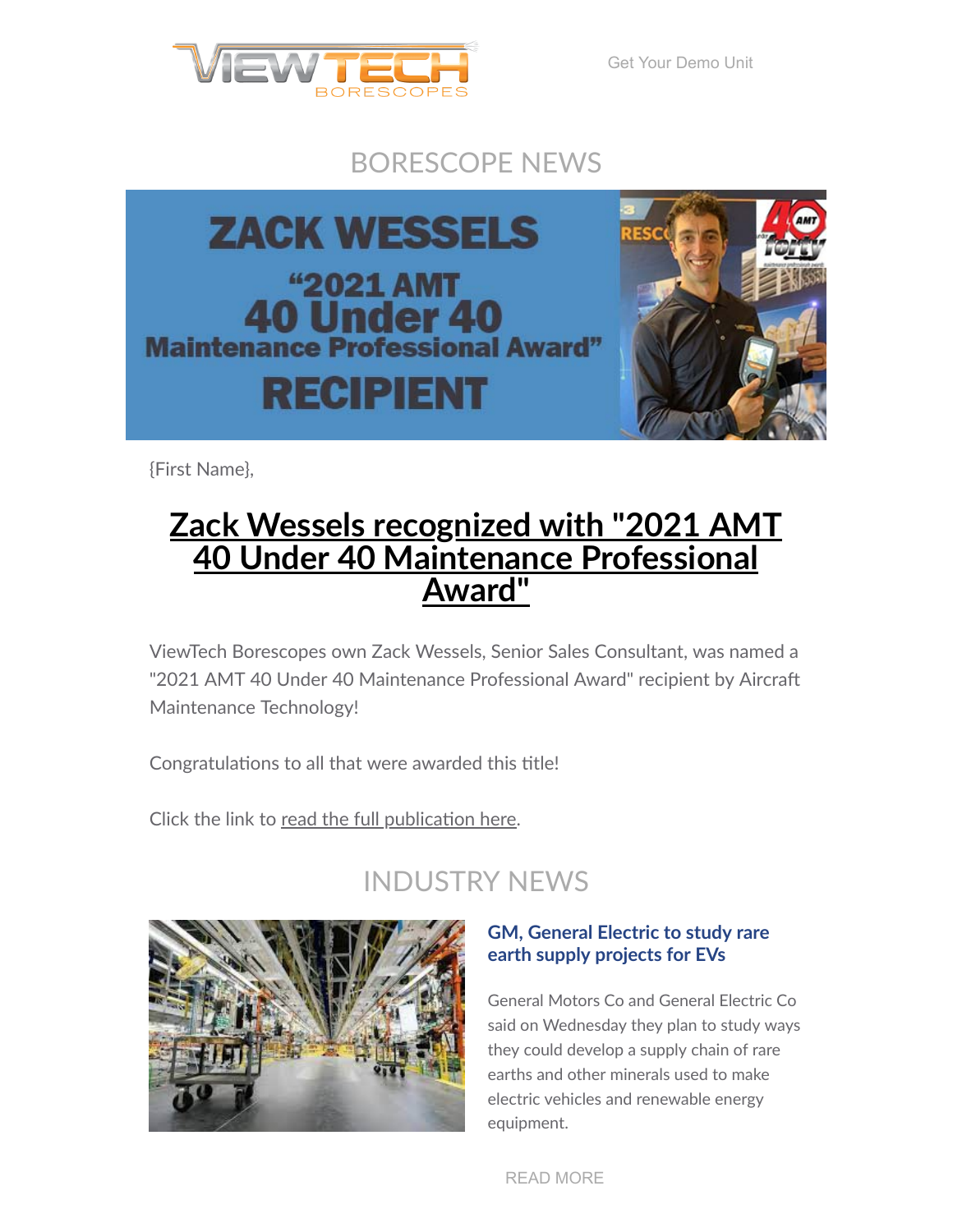

[Get Your Demo Unit](https://www.viewtech.com/borescope-demo-offer/?utm_source=cc&utm_medium=email&utm_campaign=newsletter1021)

## BORESCOPE NEWS



{First Name},

# **Zack Wessels recognized with "2021 AMT 40 Under 40 [Maintenance](https://www.viewtech.com/amt-40-under-40/?utm_source=cc&utm_medium=email&utm_campaign=newsletter1021) Professional Award"**

ViewTech Borescopes own Zack Wessels, Senior Sales Consultant, was named a "2021 AMT 40 Under 40 Maintenance Professional Award" recipient by Aircraft Maintenance Technology!

Congratulations to all that were awarded this title!

Click the link to read the full [publication](https://www.viewtech.com/amt-40-under-40/?utm_source=cc&utm_medium=email&utm_campaign=newsletter1021) here.

## INDUSTRY NEWS



### **GM, General Electric to study rare earth supply projects for EVs**

General Motors Co and General Electric Co said on Wednesday they plan to study ways they could develop a supply chain of rare earths and other minerals used to make electric vehicles and renewable energy equipment.

[READ MORE](https://www.reuters.com/business/autos-transportation/gm-general-electric-develop-supply-chain-rare-earth-materials-evs-2021-10-06/)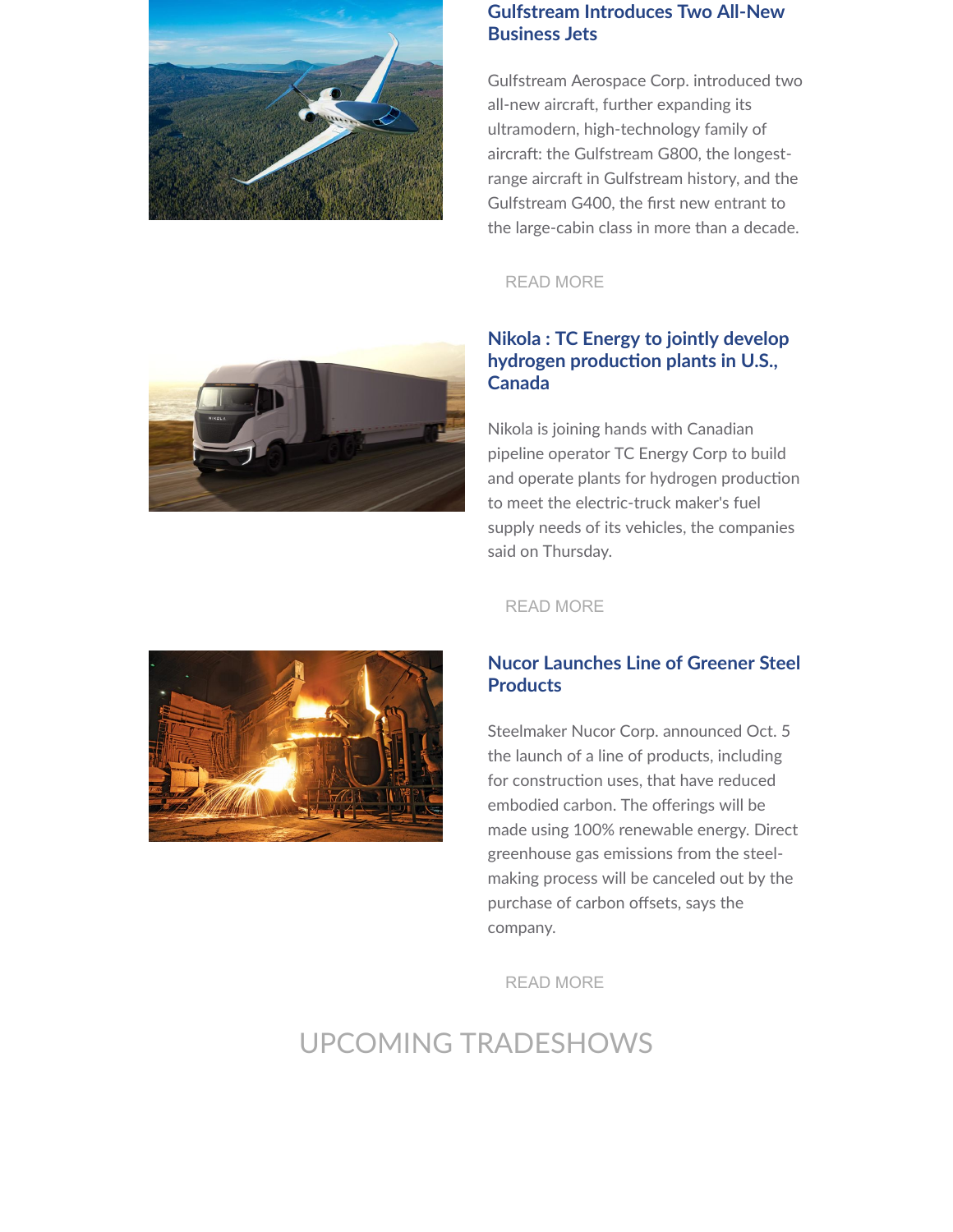

#### **Gulfstream Introduces Two All-New Business Jets**

Gulfstream Aerospace Corp. introduced two all-new aircraft, further expanding its ultramodern, high-technology family of aircraft: the Gulfstream G800, the longestrange aircraft in Gulfstream history, and the Gulfstream G400, the first new entrant to the large-cabin class in more than a decade.

#### [READ MORE](https://www.prnewswire.com/news-releases/gulfstream-introduces-two-all-new-business-jets-301392247.html)



Nikola is joining hands with Canadian pipeline operator TC Energy Corp to build and operate plants for hydrogen production to meet the electric-truck maker's fuel supply needs of its vehicles, the companies said on Thursday.





[READ MORE](https://www.marketscreener.com/quote/stock/NIKOLA-CORPORATION-44211889/news/Nikola-TC-Energy-to-jointly-develop-hydrogen-production-plants-in-U-S-Canada-36627664/)

#### **Nucor Launches Line of Greener Steel Products**

Steelmaker Nucor Corp. announced Oct. 5 the launch of a line of products, including for construction uses, that have reduced embodied carbon. The offerings will be made using 100% renewable energy. Direct greenhouse gas emissions from the steelmaking process will be canceled out by the purchase of carbon offsets, says the company.

[READ MORE](https://www.enr.com/articles/52598-nucor-launches-line-of-greener-steel-products)

## UPCOMING TRADESHOWS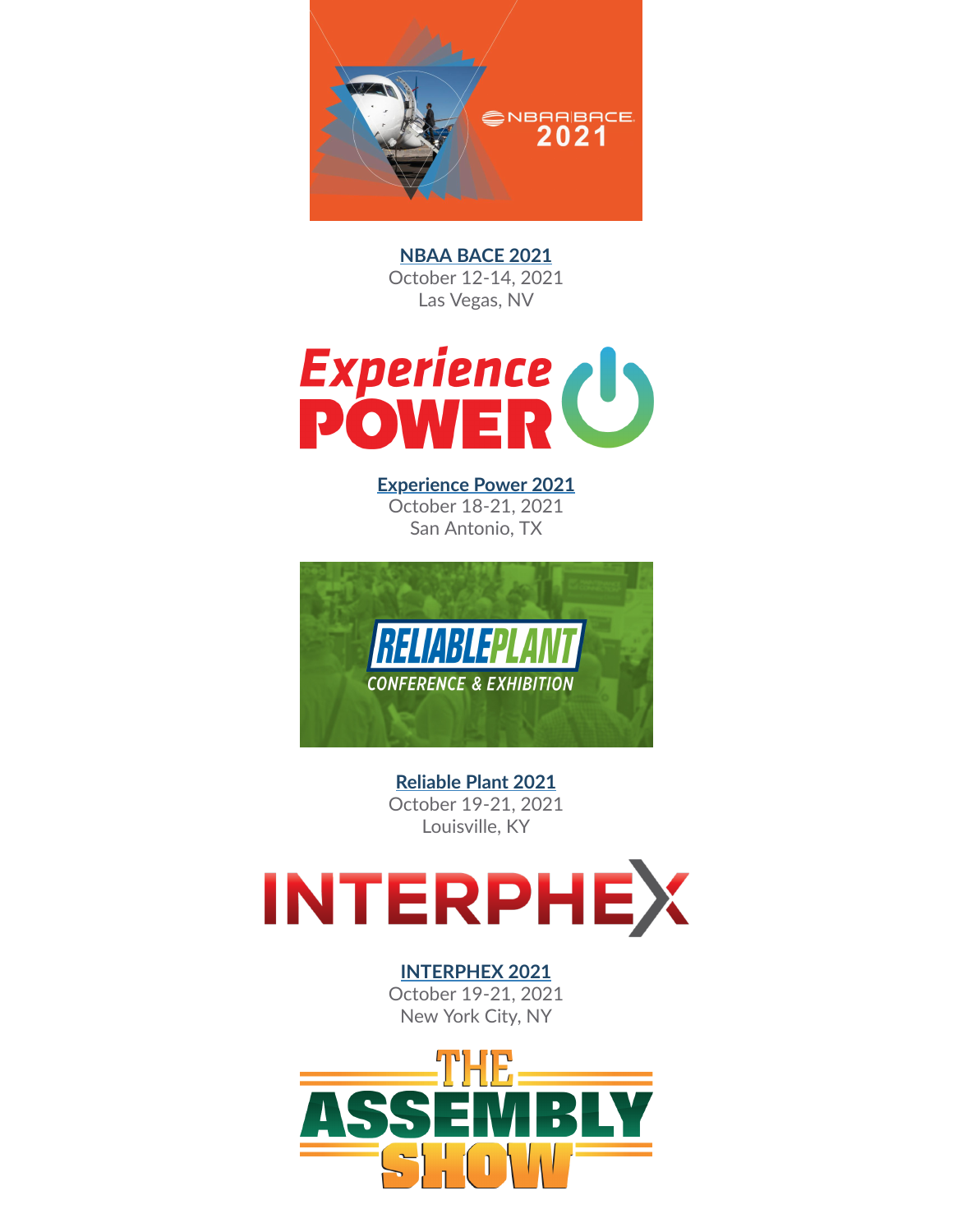

**[NBAA](https://www.viewtech.com/about-us/tradeshows/nbaa-bace-2021/?utm_source=cc&utm_medium=email&utm_campaign=newsletter1021) BACE 2021** October 12-14, 2021 Las Vegas, NV



**[Experience](https://www.viewtech.com/about-us/tradeshows/experience-power-2021/?utm_source=cc&utm_medium=email&utm_campaign=newsletter1021) Power 2021** October 18-21, 2021 San Antonio, TX



**[Reliable](https://www.viewtech.com/about-us/tradeshows/reliable-plant-conference-2021/?utm_source=cc&utm_medium=email&utm_campaign=newsletter1021) Plant 2021** October 19-21, 2021 Louisville, KY



**[INTERPHEX](https://www.viewtech.com/about-us/tradeshows/interphex-2021/?utm_source=cc&utm_medium=email&utm_campaign=newsletter1021) 2021** October 19-21, 2021 New York City, NY